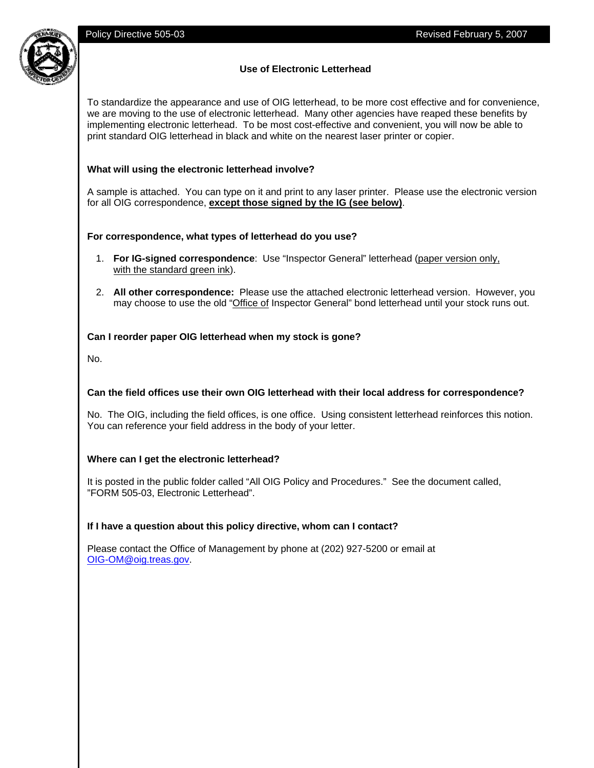

# **Use of Electronic Letterhead**

To standardize the appearance and use of OIG letterhead, to be more cost effective and for convenience, we are moving to the use of electronic letterhead. Many other agencies have reaped these benefits by implementing electronic letterhead. To be most cost-effective and convenient, you will now be able to print standard OIG letterhead in black and white on the nearest laser printer or copier.

## **What will using the electronic letterhead involve?**

A sample is attached. You can type on it and print to any laser printer. Please use the electronic version for all OIG correspondence, **except those signed by the IG (see below)**.

## **For correspondence, what types of letterhead do you use?**

- 1. **For IG-signed correspondence**: Use "Inspector General" letterhead (paper version only, with the standard green ink).
- 2. **All other correspondence:** Please use the attached electronic letterhead version. However, you may choose to use the old "Office of Inspector General" bond letterhead until your stock runs out.

## **Can I reorder paper OIG letterhead when my stock is gone?**

No.

# **Can the field offices use their own OIG letterhead with their local address for correspondence?**

No. The OIG, including the field offices, is one office. Using consistent letterhead reinforces this notion. You can reference your field address in the body of your letter.

#### **Where can I get the electronic letterhead?**

It is posted in the public folder called "All OIG Policy and Procedures." See the document called, "FORM 505-03, Electronic Letterhead".

#### **If I have a question about this policy directive, whom can I contact?**

Please contact the Office of Management by phone at (202) 927-5200 or email at OIG-OM@oig.treas.gov.